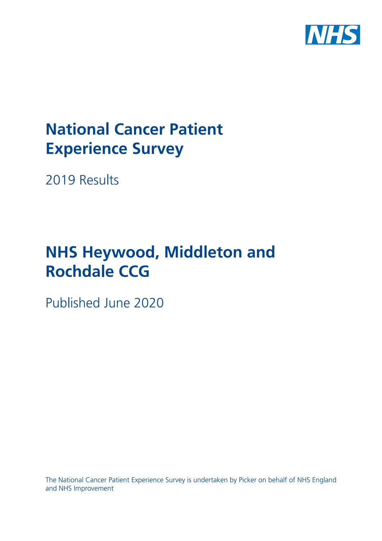

# **National Cancer Patient Experience Survey**

2019 Results

# **NHS Heywood, Middleton and Rochdale CCG**

Published June 2020

The National Cancer Patient Experience Survey is undertaken by Picker on behalf of NHS England and NHS Improvement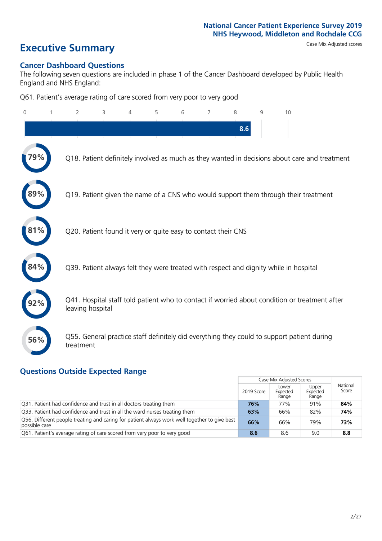# **Executive Summary** Case Mix Adjusted scores

### **Cancer Dashboard Questions**

The following seven questions are included in phase 1 of the Cancer Dashboard developed by Public Health England and NHS England:

Q61. Patient's average rating of care scored from very poor to very good

| $\Omega$ | $\overline{2}$                                                | 3 | 4 | 5 | 6 | $\overline{7}$ | 8   | 9 | 10                                                                                            |
|----------|---------------------------------------------------------------|---|---|---|---|----------------|-----|---|-----------------------------------------------------------------------------------------------|
|          |                                                               |   |   |   |   |                | 8.6 |   |                                                                                               |
|          |                                                               |   |   |   |   |                |     |   | Q18. Patient definitely involved as much as they wanted in decisions about care and treatment |
| 89%      |                                                               |   |   |   |   |                |     |   | Q19. Patient given the name of a CNS who would support them through their treatment           |
| 81%      | Q20. Patient found it very or quite easy to contact their CNS |   |   |   |   |                |     |   |                                                                                               |
|          |                                                               |   |   |   |   |                |     |   | Q39. Patient always felt they were treated with respect and dignity while in hospital         |
|          | leaving hospital                                              |   |   |   |   |                |     |   | Q41. Hospital staff told patient who to contact if worried about condition or treatment after |
| 56%      | treatment                                                     |   |   |   |   |                |     |   | Q55. General practice staff definitely did everything they could to support patient during    |

### **Questions Outside Expected Range**

|                                                                                                               |            | Case Mix Adjusted Scores   |                            |                   |
|---------------------------------------------------------------------------------------------------------------|------------|----------------------------|----------------------------|-------------------|
|                                                                                                               | 2019 Score | Lower<br>Expected<br>Range | Upper<br>Expected<br>Range | National<br>Score |
| Q31. Patient had confidence and trust in all doctors treating them                                            | 76%        | 77%                        | 91%                        | 84%               |
| Q33. Patient had confidence and trust in all the ward nurses treating them                                    | 63%        | 66%                        | 82%                        | 74%               |
| Q56. Different people treating and caring for patient always work well together to give best<br>possible care | 66%        | 66%                        | 79%                        | 73%               |
| Q61. Patient's average rating of care scored from very poor to very good                                      | 8.6        | 8.6                        | 9.0                        | 8.8               |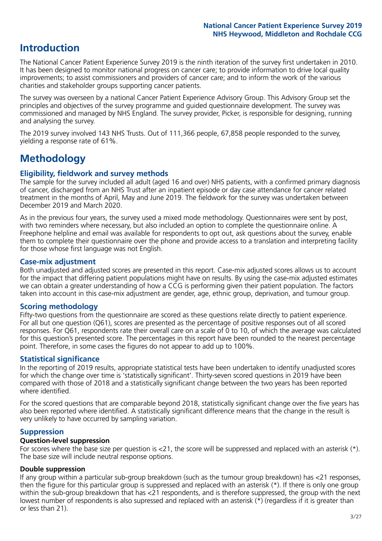# **Introduction**

The National Cancer Patient Experience Survey 2019 is the ninth iteration of the survey first undertaken in 2010. It has been designed to monitor national progress on cancer care; to provide information to drive local quality improvements; to assist commissioners and providers of cancer care; and to inform the work of the various charities and stakeholder groups supporting cancer patients.

The survey was overseen by a national Cancer Patient Experience Advisory Group. This Advisory Group set the principles and objectives of the survey programme and guided questionnaire development. The survey was commissioned and managed by NHS England. The survey provider, Picker, is responsible for designing, running and analysing the survey.

The 2019 survey involved 143 NHS Trusts. Out of 111,366 people, 67,858 people responded to the survey, yielding a response rate of 61%.

# **Methodology**

### **Eligibility, fieldwork and survey methods**

The sample for the survey included all adult (aged 16 and over) NHS patients, with a confirmed primary diagnosis of cancer, discharged from an NHS Trust after an inpatient episode or day case attendance for cancer related treatment in the months of April, May and June 2019. The fieldwork for the survey was undertaken between December 2019 and March 2020.

As in the previous four years, the survey used a mixed mode methodology. Questionnaires were sent by post, with two reminders where necessary, but also included an option to complete the questionnaire online. A Freephone helpline and email was available for respondents to opt out, ask questions about the survey, enable them to complete their questionnaire over the phone and provide access to a translation and interpreting facility for those whose first language was not English.

### **Case-mix adjustment**

Both unadjusted and adjusted scores are presented in this report. Case-mix adjusted scores allows us to account for the impact that differing patient populations might have on results. By using the case-mix adjusted estimates we can obtain a greater understanding of how a CCG is performing given their patient population. The factors taken into account in this case-mix adjustment are gender, age, ethnic group, deprivation, and tumour group.

### **Scoring methodology**

Fifty-two questions from the questionnaire are scored as these questions relate directly to patient experience. For all but one question (Q61), scores are presented as the percentage of positive responses out of all scored responses. For Q61, respondents rate their overall care on a scale of 0 to 10, of which the average was calculated for this question's presented score. The percentages in this report have been rounded to the nearest percentage point. Therefore, in some cases the figures do not appear to add up to 100%.

### **Statistical significance**

In the reporting of 2019 results, appropriate statistical tests have been undertaken to identify unadjusted scores for which the change over time is 'statistically significant'. Thirty-seven scored questions in 2019 have been compared with those of 2018 and a statistically significant change between the two years has been reported where identified.

For the scored questions that are comparable beyond 2018, statistically significant change over the five years has also been reported where identified. A statistically significant difference means that the change in the result is very unlikely to have occurred by sampling variation.

### **Suppression**

### **Question-level suppression**

For scores where the base size per question is  $<$ 21, the score will be suppressed and replaced with an asterisk (\*). The base size will include neutral response options.

### **Double suppression**

If any group within a particular sub-group breakdown (such as the tumour group breakdown) has <21 responses, then the figure for this particular group is suppressed and replaced with an asterisk (\*). If there is only one group within the sub-group breakdown that has <21 respondents, and is therefore suppressed, the group with the next lowest number of respondents is also supressed and replaced with an asterisk (\*) (regardless if it is greater than or less than 21).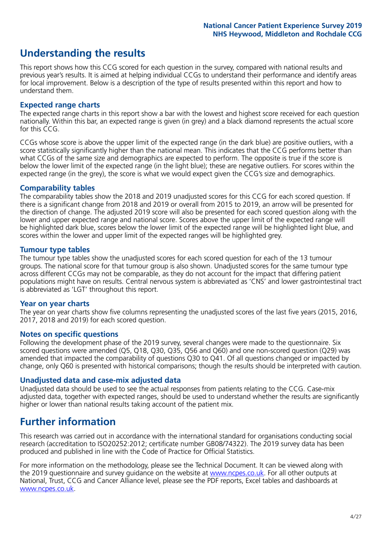# **Understanding the results**

This report shows how this CCG scored for each question in the survey, compared with national results and previous year's results. It is aimed at helping individual CCGs to understand their performance and identify areas for local improvement. Below is a description of the type of results presented within this report and how to understand them.

### **Expected range charts**

The expected range charts in this report show a bar with the lowest and highest score received for each question nationally. Within this bar, an expected range is given (in grey) and a black diamond represents the actual score for this CCG.

CCGs whose score is above the upper limit of the expected range (in the dark blue) are positive outliers, with a score statistically significantly higher than the national mean. This indicates that the CCG performs better than what CCGs of the same size and demographics are expected to perform. The opposite is true if the score is below the lower limit of the expected range (in the light blue); these are negative outliers. For scores within the expected range (in the grey), the score is what we would expect given the CCG's size and demographics.

### **Comparability tables**

The comparability tables show the 2018 and 2019 unadjusted scores for this CCG for each scored question. If there is a significant change from 2018 and 2019 or overall from 2015 to 2019, an arrow will be presented for the direction of change. The adjusted 2019 score will also be presented for each scored question along with the lower and upper expected range and national score. Scores above the upper limit of the expected range will be highlighted dark blue, scores below the lower limit of the expected range will be highlighted light blue, and scores within the lower and upper limit of the expected ranges will be highlighted grey.

### **Tumour type tables**

The tumour type tables show the unadjusted scores for each scored question for each of the 13 tumour groups. The national score for that tumour group is also shown. Unadjusted scores for the same tumour type across different CCGs may not be comparable, as they do not account for the impact that differing patient populations might have on results. Central nervous system is abbreviated as 'CNS' and lower gastrointestinal tract is abbreviated as 'LGT' throughout this report.

### **Year on year charts**

The year on year charts show five columns representing the unadjusted scores of the last five years (2015, 2016, 2017, 2018 and 2019) for each scored question.

#### **Notes on specific questions**

Following the development phase of the 2019 survey, several changes were made to the questionnaire. Six scored questions were amended (Q5, Q18, Q30, Q35, Q56 and Q60) and one non-scored question (Q29) was amended that impacted the comparability of questions Q30 to Q41. Of all questions changed or impacted by change, only Q60 is presented with historical comparisons; though the results should be interpreted with caution.

### **Unadjusted data and case-mix adjusted data**

Unadjusted data should be used to see the actual responses from patients relating to the CCG. Case-mix adjusted data, together with expected ranges, should be used to understand whether the results are significantly higher or lower than national results taking account of the patient mix.

# **Further information**

This research was carried out in accordance with the international standard for organisations conducting social research (accreditation to ISO20252:2012; certificate number GB08/74322). The 2019 survey data has been produced and published in line with the Code of Practice for Official Statistics.

For more information on the methodology, please see the Technical Document. It can be viewed along with the 2019 questionnaire and survey quidance on the website at [www.ncpes.co.uk](https://www.ncpes.co.uk/supporting-documents). For all other outputs at National, Trust, CCG and Cancer Alliance level, please see the PDF reports, Excel tables and dashboards at [www.ncpes.co.uk.](https://www.ncpes.co.uk/current-results)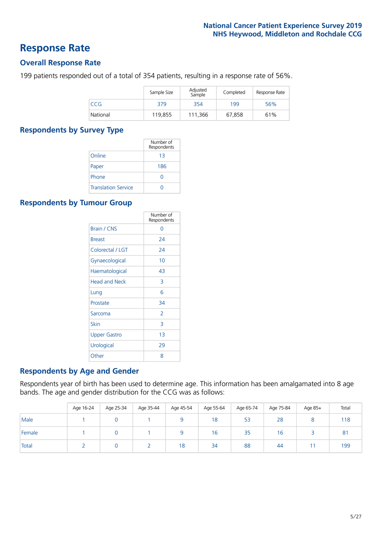### **Response Rate**

### **Overall Response Rate**

199 patients responded out of a total of 354 patients, resulting in a response rate of 56%.

|          | Sample Size | Adjusted<br>Sample | Completed | Response Rate |
|----------|-------------|--------------------|-----------|---------------|
| CCG      | 379         | 354                | 199       | 56%           |
| National | 119,855     | 111.366            | 67,858    | 61%           |

### **Respondents by Survey Type**

|                            | Number of<br>Respondents |
|----------------------------|--------------------------|
| Online                     | 13                       |
| Paper                      | 186                      |
| Phone                      | $\left( \right)$         |
| <b>Translation Service</b> |                          |

### **Respondents by Tumour Group**

|                      | Number of<br>Respondents |
|----------------------|--------------------------|
| Brain / CNS          | ∩                        |
| <b>Breast</b>        | 24                       |
| Colorectal / LGT     | 24                       |
| Gynaecological       | 10                       |
| Haematological       | 43                       |
| <b>Head and Neck</b> | 3                        |
| Lung                 | 6                        |
| Prostate             | 34                       |
| Sarcoma              | $\mathcal{P}$            |
| Skin                 | 3                        |
| <b>Upper Gastro</b>  | 1 <sub>3</sub>           |
| Urological           | 29                       |
| Other                | 8                        |

### **Respondents by Age and Gender**

Respondents year of birth has been used to determine age. This information has been amalgamated into 8 age bands. The age and gender distribution for the CCG was as follows:

|        | Age 16-24 | Age 25-34 | Age 35-44 | Age 45-54 | Age 55-64 | Age 65-74 | Age 75-84 | Age 85+ | Total          |
|--------|-----------|-----------|-----------|-----------|-----------|-----------|-----------|---------|----------------|
| Male   |           |           |           |           | 18        | 53        | 28        |         | 118            |
| Female |           |           |           |           | 16        | 35        | 16        |         | 8 <sup>1</sup> |
| Total  |           |           |           | 18        | 34        | 88        | 44        |         | 199            |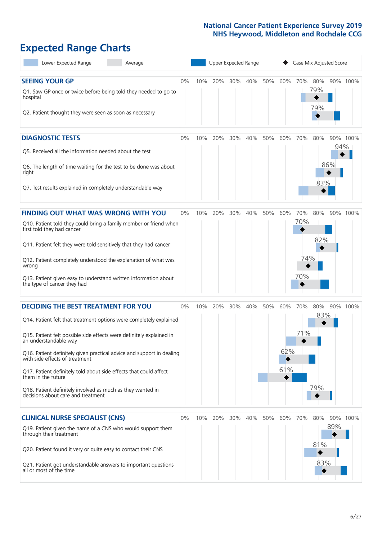# **Expected Range Charts**

| Lower Expected Range<br>Average                                                                                                                                                                                                                                                                                                                                                                                                                                                                                             |       |     |     |     | Upper Expected Range |     |                        |            |                   | Case Mix Adjusted Score |          |
|-----------------------------------------------------------------------------------------------------------------------------------------------------------------------------------------------------------------------------------------------------------------------------------------------------------------------------------------------------------------------------------------------------------------------------------------------------------------------------------------------------------------------------|-------|-----|-----|-----|----------------------|-----|------------------------|------------|-------------------|-------------------------|----------|
| <b>SEEING YOUR GP</b><br>Q1. Saw GP once or twice before being told they needed to go to<br>hospital<br>Q2. Patient thought they were seen as soon as necessary                                                                                                                                                                                                                                                                                                                                                             | $0\%$ | 10% | 20% | 30% | 40%                  | 50% | 60%                    | 70%        | 80%<br>79%<br>79% |                         | 90% 100% |
| <b>DIAGNOSTIC TESTS</b><br>Q5. Received all the information needed about the test<br>Q6. The length of time waiting for the test to be done was about<br>right<br>Q7. Test results explained in completely understandable way                                                                                                                                                                                                                                                                                               | $0\%$ | 10% | 20% | 30% | 40%                  | 50% | 60%                    | 70%        | 80%<br>83%        | 94%<br>86%              | 90% 100% |
| <b>FINDING OUT WHAT WAS WRONG WITH YOU</b>                                                                                                                                                                                                                                                                                                                                                                                                                                                                                  | $0\%$ | 10% | 20% | 30% | 40%                  | 50% | 60%                    | 70%<br>70% | 80%               |                         | 90% 100% |
| Q10. Patient told they could bring a family member or friend when<br>first told they had cancer<br>Q11. Patient felt they were told sensitively that they had cancer<br>Q12. Patient completely understood the explanation of what was<br>wrong<br>Q13. Patient given easy to understand written information about<br>the type of cancer they had                                                                                                                                                                           |       |     |     |     |                      |     |                        | 74%<br>70% | 82%               |                         |          |
| <b>DECIDING THE BEST TREATMENT FOR YOU</b><br>Q14. Patient felt that treatment options were completely explained<br>Q15. Patient felt possible side effects were definitely explained in<br>an understandable way<br>Q16. Patient definitely given practical advice and support in dealing<br>with side effects of treatment<br>Q17. Patient definitely told about side effects that could affect<br>them in the future<br>Q18. Patient definitely involved as much as they wanted in<br>decisions about care and treatment | $0\%$ | 10% | 20% | 30% | 40%                  | 50% | 60%<br>62%<br>◆<br>61% | 70%<br>71% | 80%<br>83%<br>79% |                         | 90% 100% |
| <b>CLINICAL NURSE SPECIALIST (CNS)</b><br>Q19. Patient given the name of a CNS who would support them<br>through their treatment<br>Q20. Patient found it very or quite easy to contact their CNS<br>Q21. Patient got understandable answers to important questions<br>all or most of the time                                                                                                                                                                                                                              | $0\%$ | 10% | 20% | 30% | 40%                  | 50% | 60%                    | 70%        | 80%<br>81%<br>83% | 89%                     | 90% 100% |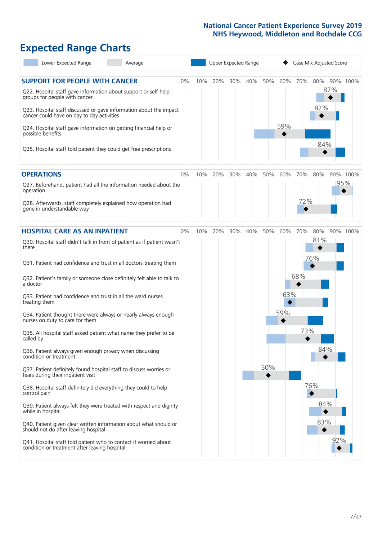# **Expected Range Charts**

| Lower Expected Range<br>Average                                                                                                                                                                                       |    |     |     |     | Upper Expected Range |     |     |     | Case Mix Adjusted Score |     |          |
|-----------------------------------------------------------------------------------------------------------------------------------------------------------------------------------------------------------------------|----|-----|-----|-----|----------------------|-----|-----|-----|-------------------------|-----|----------|
| <b>SUPPORT FOR PEOPLE WITH CANCER</b><br>0%<br>Q22. Hospital staff gave information about support or self-help<br>groups for people with cancer<br>Q23. Hospital staff discussed or gave information about the impact |    | 10% | 20% | 30% | 40%                  | 50% | 60% | 70% | 80%<br>82%              | 87% | 90% 100% |
| cancer could have on day to day activities<br>Q24. Hospital staff gave information on getting financial help or<br>possible benefits<br>Q25. Hospital staff told patient they could get free prescriptions            |    |     |     |     |                      |     | 59% |     | 84%                     |     |          |
| <b>OPERATIONS</b>                                                                                                                                                                                                     | 0% | 10% | 20% | 30% | 40%                  | 50% | 60% | 70% | 80%                     |     | 90% 100% |
| Q27. Beforehand, patient had all the information needed about the<br>operation                                                                                                                                        |    |     |     |     |                      |     |     |     |                         | 95% |          |
| Q28. Afterwards, staff completely explained how operation had<br>gone in understandable way                                                                                                                           |    |     |     |     |                      |     |     | 72% |                         |     |          |
| <b>HOSPITAL CARE AS AN INPATIENT</b><br>0%                                                                                                                                                                            |    | 10% | 20% | 30% | 40%                  | 50% | 60% | 70% | 80%                     |     | 90% 100% |
| Q30. Hospital staff didn't talk in front of patient as if patient wasn't<br>there                                                                                                                                     |    |     |     |     |                      |     |     |     | 81%                     |     |          |
| Q31. Patient had confidence and trust in all doctors treating them                                                                                                                                                    |    |     |     |     |                      |     |     |     | 76%                     |     |          |
| Q32. Patient's family or someone close definitely felt able to talk to<br>a doctor                                                                                                                                    |    |     |     |     |                      |     |     | 68% |                         |     |          |
| Q33. Patient had confidence and trust in all the ward nurses<br>treating them                                                                                                                                         |    |     |     |     |                      |     | 63% |     |                         |     |          |
| Q34. Patient thought there were always or nearly always enough<br>nurses on duty to care for them                                                                                                                     |    |     |     |     |                      |     | 59% |     |                         |     |          |
| Q35. All hospital staff asked patient what name they prefer to be<br>called by                                                                                                                                        |    |     |     |     |                      |     |     | 73% |                         |     |          |
| Q36. Patient always given enough privacy when discussing<br>condition or treatment                                                                                                                                    |    |     |     |     |                      |     |     |     | 84%                     |     |          |
| Q37. Patient definitely found hospital staff to discuss worries or<br>fears during their inpatient visit                                                                                                              |    |     |     |     |                      | 50% |     |     |                         |     |          |
| Q38. Hospital staff definitely did everything they could to help<br>control pain                                                                                                                                      |    |     |     |     |                      |     |     |     | 76%                     |     |          |
| Q39. Patient always felt they were treated with respect and dignity<br>while in hospital                                                                                                                              |    |     |     |     |                      |     |     |     | 84%                     |     |          |
| Q40. Patient given clear written information about what should or<br>should not do after leaving hospital                                                                                                             |    |     |     |     |                      |     |     |     | 83%                     |     |          |
| Q41. Hospital staff told patient who to contact if worried about<br>condition or treatment after leaving hospital                                                                                                     |    |     |     |     |                      |     |     |     |                         | 92% |          |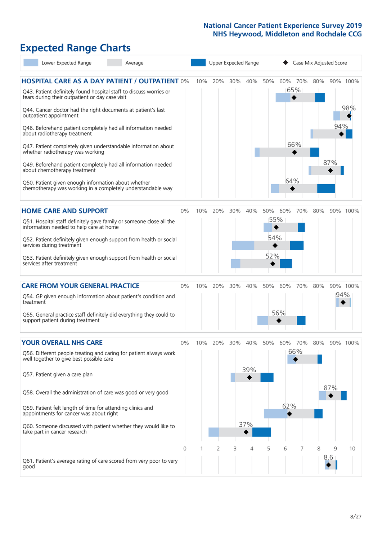# **Expected Range Charts**

| Lower Expected Range                                                                                                                                                                                                                                                                                                                                                                                                                                                                                                                                                                                                                                                                                   | Average |              |     | Upper Expected Range |                   |                   |                              | Case Mix Adjusted Score |            |                 |
|--------------------------------------------------------------------------------------------------------------------------------------------------------------------------------------------------------------------------------------------------------------------------------------------------------------------------------------------------------------------------------------------------------------------------------------------------------------------------------------------------------------------------------------------------------------------------------------------------------------------------------------------------------------------------------------------------------|---------|--------------|-----|----------------------|-------------------|-------------------|------------------------------|-------------------------|------------|-----------------|
| <b>HOSPITAL CARE AS A DAY PATIENT / OUTPATIENT 0%</b><br>Q43. Patient definitely found hospital staff to discuss worries or<br>fears during their outpatient or day case visit<br>Q44. Cancer doctor had the right documents at patient's last<br>outpatient appointment<br>Q46. Beforehand patient completely had all information needed<br>about radiotherapy treatment<br>Q47. Patient completely given understandable information about<br>whether radiotherapy was working<br>Q49. Beforehand patient completely had all information needed<br>about chemotherapy treatment<br>Q50. Patient given enough information about whether<br>chemotherapy was working in a completely understandable way |         | 10%          | 20% | 30%                  | 40%               | 50%               | 60% 70%<br>65%<br>66%<br>64% | 80%                     | 94%<br>87% | 90% 100%<br>98% |
| <b>HOME CARE AND SUPPORT</b><br>Q51. Hospital staff definitely gave family or someone close all the<br>information needed to help care at home<br>Q52. Patient definitely given enough support from health or social<br>services during treatment<br>Q53. Patient definitely given enough support from health or social<br>services after treatment                                                                                                                                                                                                                                                                                                                                                    |         | 0%<br>10%    | 20% | 30%                  | 40%               | 50%<br>54%<br>52% | 60%<br>55%                   | 70%<br>80%              |            | 90% 100%        |
| <b>CARE FROM YOUR GENERAL PRACTICE</b><br>Q54. GP given enough information about patient's condition and<br>treatment<br>Q55. General practice staff definitely did everything they could to<br>support patient during treatment                                                                                                                                                                                                                                                                                                                                                                                                                                                                       |         | 0%<br>10%    | 20% | 30%                  | 40%               | 50%               | 60%<br>56%                   | 70%<br>80%              |            | 90% 100%<br>94% |
| <b>YOUR OVERALL NHS CARE</b><br>Q56. Different people treating and caring for patient always work<br>well together to give best possible care<br>Q57. Patient given a care plan<br>Q58. Overall the administration of care was good or very good<br>Q59. Patient felt length of time for attending clinics and<br>appointments for cancer was about right<br>Q60. Someone discussed with patient whether they would like to<br>take part in cancer research                                                                                                                                                                                                                                            |         | $0\%$<br>10% | 20% | 30%                  | 40%<br>39%<br>37% | 50%               | 60%<br>66%<br>62%            | 70%<br>80%              | 87%        | 90% 100%        |
| Q61. Patient's average rating of care scored from very poor to very<br>good                                                                                                                                                                                                                                                                                                                                                                                                                                                                                                                                                                                                                            |         | 0            |     | 2<br>3               | 4                 | 5                 | 6                            | 8                       | 9<br>8.6   | 10              |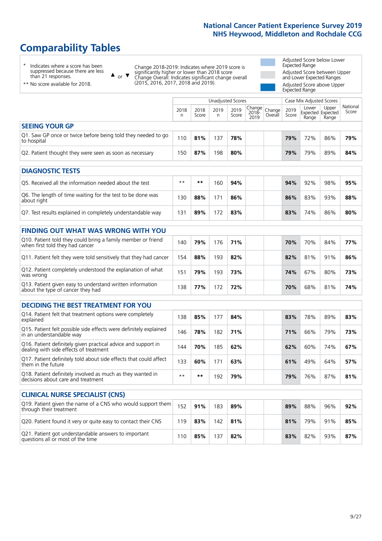# **Comparability Tables**

\* Indicates where a score has been suppressed because there are less than 21 responses.

\*\* No score available for 2018.

 $\triangle$  or  $\nabla$ 

Change 2018-2019: Indicates where 2019 score is significantly higher or lower than 2018 score Change Overall: Indicates significant change overall (2015, 2016, 2017, 2018 and 2019).

Adjusted Score below Lower Expected Range Adjusted Score between Upper and Lower Expected Ranges Adjusted Score above Upper Expected Range

|                                                                             |           |               | Unadjusted Scores |               |                                                       |         |               | Case Mix Adjusted Scores            |                |                   |
|-----------------------------------------------------------------------------|-----------|---------------|-------------------|---------------|-------------------------------------------------------|---------|---------------|-------------------------------------|----------------|-------------------|
|                                                                             | 2018<br>n | 2018<br>Score | 2019<br>n         | 2019<br>Score | $\sqrt{(\text{Change})^2}$ Change<br>$2018 -$<br>2019 | Overall | 2019<br>Score | Lower<br>Expected Expected<br>Range | Upper<br>Range | National<br>Score |
| <b>SEEING YOUR GP</b>                                                       |           |               |                   |               |                                                       |         |               |                                     |                |                   |
| Q1. Saw GP once or twice before being told they needed to go<br>to hospital | 110       | 81%           | 137               | 78%           |                                                       |         | 79%           | 72%                                 | 86%            | 79%               |
| Q2. Patient thought they were seen as soon as necessary                     | 150       | 87%           | 198               | 80%           |                                                       |         | 79%           | 79%                                 | 89%            | 84%               |
| <b>DIAGNOSTIC TESTS</b>                                                     |           |               |                   |               |                                                       |         |               |                                     |                |                   |

| Q5. Received all the information needed about the test                    | $**$ | **  | 16C | 94% |  | 94% | 92% | 98% | 95% |
|---------------------------------------------------------------------------|------|-----|-----|-----|--|-----|-----|-----|-----|
| Q6. The length of time waiting for the test to be done was<br>about right | 130  | 88% |     | 86% |  | 86% | 83% | 93% | 88% |
| Q7. Test results explained in completely understandable way               | 3.   | 89% | 172 | 83% |  | 83% | 74% | 86% | 80% |

| <b>FINDING OUT WHAT WAS WRONG WITH YOU</b>                                                      |     |     |     |     |     |     |     |     |
|-------------------------------------------------------------------------------------------------|-----|-----|-----|-----|-----|-----|-----|-----|
| Q10. Patient told they could bring a family member or friend<br>when first told they had cancer | 140 | 79% | 176 | 71% | 70% | 70% | 84% | 77% |
| Q11. Patient felt they were told sensitively that they had cancer                               | 154 | 88% | 193 | 82% | 82% | 81% | 91% | 86% |
| Q12. Patient completely understood the explanation of what<br>was wrong                         | 151 | 79% | 193 | 73% | 74% | 67% | 80% | 73% |
| Q13. Patient given easy to understand written information<br>about the type of cancer they had  | 138 | 77% | 172 | 72% | 70% | 68% | 81% | 74% |

| <b>DECIDING THE BEST TREATMENT FOR YOU</b>                                                              |      |     |     |     |     |     |     |     |
|---------------------------------------------------------------------------------------------------------|------|-----|-----|-----|-----|-----|-----|-----|
| Q14. Patient felt that treatment options were completely<br>explained                                   | 138  | 85% | 177 | 84% | 83% | 78% | 89% | 83% |
| Q15. Patient felt possible side effects were definitely explained<br>in an understandable way           | 146  | 78% | 182 | 71% | 71% | 66% | 79% | 73% |
| Q16. Patient definitely given practical advice and support in<br>dealing with side effects of treatment | 144  | 70% | 185 | 62% | 62% | 60% | 74% | 67% |
| Q17. Patient definitely told about side effects that could affect<br>them in the future                 | 133  | 60% | 171 | 63% | 61% | 49% | 64% | 57% |
| Q18. Patient definitely involved as much as they wanted in<br>decisions about care and treatment        | $**$ | **  | 192 | 79% | 79% | 76% | 87% | 81% |

| <b>CLINICAL NURSE SPECIALIST (CNS)</b>                                                    |     |     |     |     |  |     |     |     |     |
|-------------------------------------------------------------------------------------------|-----|-----|-----|-----|--|-----|-----|-----|-----|
| Q19. Patient given the name of a CNS who would support them<br>through their treatment    | 152 | 91% | 183 | 89% |  | 89% | 88% | 96% | 92% |
| Q20. Patient found it very or quite easy to contact their CNS                             | 119 | 83% | 142 | 81% |  | 81% | 79% | 91% | 85% |
| Q21. Patient got understandable answers to important<br>questions all or most of the time | 110 | 85% | 137 | 82% |  | 83% | 82% | 93% | 87% |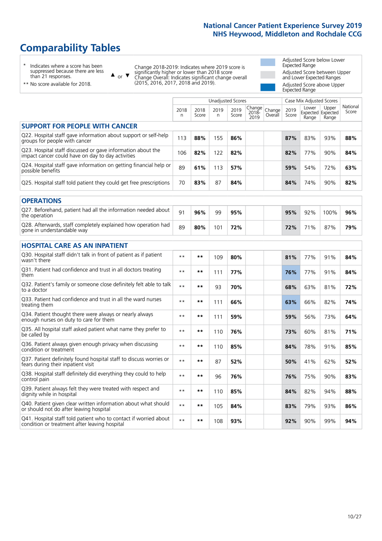# **Comparability Tables**

\* Indicates where a score has been suppressed because there are less than 21 responses.

\*\* No score available for 2018.

 $\triangle$  or  $\nabla$ 

Change 2018-2019: Indicates where 2019 score is significantly higher or lower than 2018 score Change Overall: Indicates significant change overall (2015, 2016, 2017, 2018 and 2019).

Adjusted Score below Lower Expected Range Adjusted Score between Upper and Lower Expected Ranges Adjusted Score above Upper Expected Range

|                                                                                                                   |              |               | <b>Unadjusted Scores</b> |               |                         |                   |               | Case Mix Adjusted Scores |                                     |                   |
|-------------------------------------------------------------------------------------------------------------------|--------------|---------------|--------------------------|---------------|-------------------------|-------------------|---------------|--------------------------|-------------------------------------|-------------------|
|                                                                                                                   | 2018<br>n    | 2018<br>Score | 2019<br>n                | 2019<br>Score | Change<br>2018-<br>2019 | Change<br>Overall | 2019<br>Score | Lower<br>Range           | Upper<br>Expected Expected<br>Range | National<br>Score |
| <b>SUPPORT FOR PEOPLE WITH CANCER</b>                                                                             |              |               |                          |               |                         |                   |               |                          |                                     |                   |
| Q22. Hospital staff gave information about support or self-help<br>groups for people with cancer                  | 113          | 88%           | 155                      | 86%           |                         |                   | 87%           | 83%                      | 93%                                 | 88%               |
| Q23. Hospital staff discussed or gave information about the<br>impact cancer could have on day to day activities  | 106          | 82%           | 122                      | 82%           |                         |                   | 82%           | 77%                      | 90%                                 | 84%               |
| Q24. Hospital staff gave information on getting financial help or<br>possible benefits                            | 89           | 61%           | 113                      | 57%           |                         |                   | 59%           | 54%                      | 72%                                 | 63%               |
| Q25. Hospital staff told patient they could get free prescriptions                                                | 70           | 83%           | 87                       | 84%           |                         |                   | 84%           | 74%                      | 90%                                 | 82%               |
| <b>OPERATIONS</b>                                                                                                 |              |               |                          |               |                         |                   |               |                          |                                     |                   |
| Q27. Beforehand, patient had all the information needed about<br>the operation                                    | 91           | 96%           | 99                       | 95%           |                         |                   | 95%           | 92%                      | 100%                                | 96%               |
| Q28. Afterwards, staff completely explained how operation had<br>gone in understandable way                       | 89           | 80%           | 101                      | 72%           |                         |                   | 72%           | 71%                      | 87%                                 | 79%               |
| <b>HOSPITAL CARE AS AN INPATIENT</b>                                                                              |              |               |                          |               |                         |                   |               |                          |                                     |                   |
| Q30. Hospital staff didn't talk in front of patient as if patient<br>wasn't there                                 | $\star\star$ | **            | 109                      | 80%           |                         |                   | 81%           | 77%                      | 91%                                 | 84%               |
| Q31. Patient had confidence and trust in all doctors treating<br>them                                             | $* *$        | $***$         | 111                      | 77%           |                         |                   | 76%           | 77%                      | 91%                                 | 84%               |
| Q32. Patient's family or someone close definitely felt able to talk<br>to a doctor                                | $* *$        | $***$         | 93                       | 70%           |                         |                   | 68%           | 63%                      | 81%                                 | 72%               |
| Q33. Patient had confidence and trust in all the ward nurses<br>treating them                                     | $* *$        | **            | 111                      | 66%           |                         |                   | 63%           | 66%                      | 82%                                 | 74%               |
| Q34. Patient thought there were always or nearly always<br>enough nurses on duty to care for them                 | $* *$        | $***$         | 111                      | 59%           |                         |                   | 59%           | 56%                      | 73%                                 | 64%               |
| Q35. All hospital staff asked patient what name they prefer to<br>be called by                                    | $* *$        | $***$         | 110                      | 76%           |                         |                   | 73%           | 60%                      | 81%                                 | 71%               |
| Q36. Patient always given enough privacy when discussing<br>condition or treatment                                | $* *$        | $***$         | 110                      | 85%           |                         |                   | 84%           | 78%                      | 91%                                 | 85%               |
| Q37. Patient definitely found hospital staff to discuss worries or<br>fears during their inpatient visit          | $* *$        | **            | 87                       | 52%           |                         |                   | 50%           | 41%                      | 62%                                 | 52%               |
| Q38. Hospital staff definitely did everything they could to help<br>control pain                                  | $* *$        | $***$         | 96                       | 76%           |                         |                   | 76%           | 75%                      | 90%                                 | 83%               |
| Q39. Patient always felt they were treated with respect and<br>dignity while in hospital                          | $* *$        | **            | 110                      | 85%           |                         |                   | 84%           | 82%                      | 94%                                 | 88%               |
| Q40. Patient given clear written information about what should<br>or should not do after leaving hospital         | $\star\star$ | $***$         | 105                      | 84%           |                         |                   | 83%           | 79%                      | 93%                                 | 86%               |
| Q41. Hospital staff told patient who to contact if worried about<br>condition or treatment after leaving hospital | $**$         | **            | 108                      | 93%           |                         |                   | 92%           | 90%                      | 99%                                 | 94%               |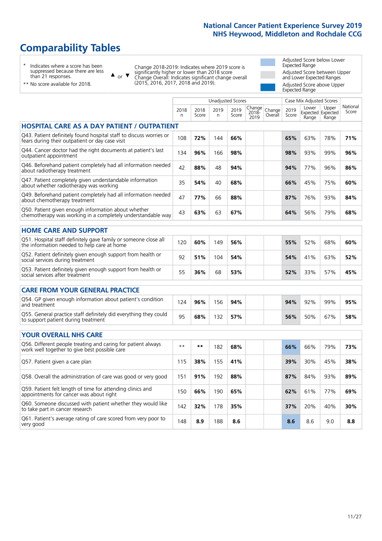# **Comparability Tables**

\* Indicates where a score has been suppressed because there are less than 21 responses.

 $\triangle$  or  $\nabla$ 

Change 2018-2019: Indicates where 2019 score is significantly higher or lower than 2018 score Change Overall: Indicates significant change overall (2015, 2016, 2017, 2018 and 2019).

Adjusted Score below Lower Expected Range Adjusted Score between Upper and Lower Expected Ranges Adjusted Score above Upper Expected Range

| $\cdots$ and $\cdots$ is a respectively. |  |
|------------------------------------------|--|
| ** No score available for 2018.          |  |

|                                                                                                                       |              |               | Unadjusted Scores |               |                         |                   |               | Case Mix Adjusted Scores |                                     |                   |
|-----------------------------------------------------------------------------------------------------------------------|--------------|---------------|-------------------|---------------|-------------------------|-------------------|---------------|--------------------------|-------------------------------------|-------------------|
|                                                                                                                       | 2018<br>n    | 2018<br>Score | 2019<br>n.        | 2019<br>Score | Change<br>2018-<br>2019 | Change<br>Overall | 2019<br>Score | Lower<br>Range           | Upper<br>Expected Expected<br>Range | National<br>Score |
| <b>HOSPITAL CARE AS A DAY PATIENT / OUTPATIENT</b>                                                                    |              |               |                   |               |                         |                   |               |                          |                                     |                   |
| Q43. Patient definitely found hospital staff to discuss worries or<br>fears during their outpatient or day case visit | 108          | 72%           | 144               | 66%           |                         |                   | 65%           | 63%                      | 78%                                 | 71%               |
| Q44. Cancer doctor had the right documents at patient's last<br>outpatient appointment                                | 134          | 96%           | 166               | 98%           |                         |                   | 98%           | 93%                      | 99%                                 | 96%               |
| Q46. Beforehand patient completely had all information needed<br>about radiotherapy treatment                         | 42           | 88%           | 48                | 94%           |                         |                   | 94%           | 77%                      | 96%                                 | 86%               |
| Q47. Patient completely given understandable information<br>about whether radiotherapy was working                    | 35           | 54%           | 40                | 68%           |                         |                   | 66%           | 45%                      | 75%                                 | 60%               |
| Q49. Beforehand patient completely had all information needed<br>about chemotherapy treatment                         | 47           | 77%           | 66                | 88%           |                         |                   | 87%           | 76%                      | 93%                                 | 84%               |
| Q50. Patient given enough information about whether<br>chemotherapy was working in a completely understandable way    | 43           | 63%           | 63                | 67%           |                         |                   | 64%           | 56%                      | 79%                                 | 68%               |
| <b>HOME CARE AND SUPPORT</b>                                                                                          |              |               |                   |               |                         |                   |               |                          |                                     |                   |
| Q51. Hospital staff definitely gave family or someone close all<br>the information needed to help care at home        | 120          | 60%           | 149               | 56%           |                         |                   | 55%           | 52%                      | 68%                                 | 60%               |
| Q52. Patient definitely given enough support from health or<br>social services during treatment                       | 92           | 51%           | 104               | 54%           |                         |                   | 54%           | 41%                      | 63%                                 | 52%               |
| Q53. Patient definitely given enough support from health or<br>social services after treatment                        | 55           | 36%           | 68                | 53%           |                         |                   | 52%           | 33%                      | 57%                                 | 45%               |
| <b>CARE FROM YOUR GENERAL PRACTICE</b>                                                                                |              |               |                   |               |                         |                   |               |                          |                                     |                   |
| Q54. GP given enough information about patient's condition<br>and treatment                                           | 124          | 96%           | 156               | 94%           |                         |                   | 94%           | 92%                      | 99%                                 | 95%               |
| Q55. General practice staff definitely did everything they could<br>to support patient during treatment               | 95           | 68%           | 132               | 57%           |                         |                   | 56%           | 50%                      | 67%                                 | 58%               |
| <b>YOUR OVERALL NHS CARE</b>                                                                                          |              |               |                   |               |                         |                   |               |                          |                                     |                   |
| Q56. Different people treating and caring for patient always<br>work well together to give best possible care         | $\star\star$ | $***$         | 182               | 68%           |                         |                   | 66%           | 66%                      | 79%                                 | 73%               |
| Q57. Patient given a care plan                                                                                        | 115          | 38%           | 155               | 41%           |                         |                   | 39%           | 30%                      | 45%                                 | 38%               |
| Q58. Overall the administration of care was good or very good                                                         | 151          | 91%           | 192               | 88%           |                         |                   | 87%           | 84%                      | 93%                                 | 89%               |
| Q59. Patient felt length of time for attending clinics and<br>appointments for cancer was about right                 | 150          | 66%           | 190               | 65%           |                         |                   | 62%           | 61%                      | 77%                                 | 69%               |
| Q60. Someone discussed with patient whether they would like<br>to take part in cancer research                        | 142          | 32%           | 178               | 35%           |                         |                   | 37%           | 20%                      | 40%                                 | 30%               |
| Q61. Patient's average rating of care scored from very poor to<br>very good                                           | 148          | 8.9           | 188               | 8.6           |                         |                   | 8.6           | 8.6                      | 9.0                                 | 8.8               |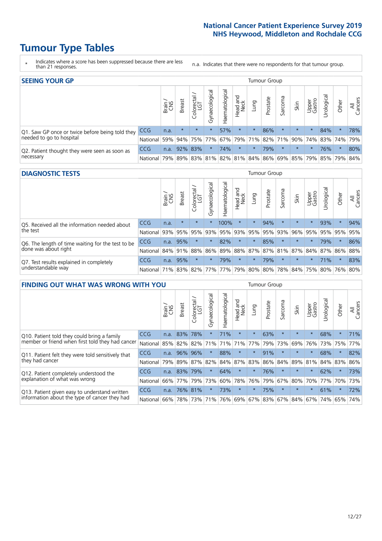# **Tumour Type Tables**

- \* Indicates where a score has been suppressed because there are less than 21 responses.
- n.a. Indicates that there were no respondents for that tumour group.

| <b>SEEING YOUR GP</b>                           |            |       |               |                   |                                     |                |                  |                 | Tumour Group |         |         |                 |                                                 |         |                |
|-------------------------------------------------|------------|-------|---------------|-------------------|-------------------------------------|----------------|------------------|-----------------|--------------|---------|---------|-----------------|-------------------------------------------------|---------|----------------|
|                                                 |            | Brain | <b>Breast</b> | Colorectal<br>LGT | $\overline{\sigma}$<br>Gynaecologic | Haematological | Head and<br>Neck | Lung            | Prostate     | Sarcoma | Skin    | Upper<br>Gastro | –<br>Irologica                                  | Other   | All<br>Cancers |
| Q1. Saw GP once or twice before being told they | <b>CCG</b> | n.a.  | $\star$       | $\star$           |                                     | 57%            | $\star$          | $\star$         | 86%          | $\star$ | $\star$ | $\star$         | 84%                                             | $\star$ | 78%            |
| needed to go to hospital                        | National   | 59%   |               | 94% 75% 77%       |                                     |                |                  | 67% 79% 71% 82% |              |         |         |                 | 71% 90% 74% 83% 74%                             |         | 79%            |
| Q2. Patient thought they were seen as soon as   | <b>CCG</b> | n.a.  |               | 92% 83%           |                                     | 74%            | $\star$          | $\star$         | 79%          | $\star$ | $\star$ | $\star$         | 76%                                             | $\star$ | 80%            |
| necessary                                       | National   | 79%   |               |                   |                                     |                |                  |                 |              |         |         |                 | 89% 83% 81% 82% 81% 84% 86% 69% 85% 79% 85% 79% |         | 84%            |

#### **DIAGNOSTIC TESTS** Tumour Group

|                                                   |                                          | Brain | <b>Breast</b> | Colorectal | ᢛ<br>Gynaecologic | Haematological | Head and<br>Neck | Lung    | Prostate | Sarcoma | Skin    | Upper<br>Gastro | Urological                              | Other   | All<br>Cancers |
|---------------------------------------------------|------------------------------------------|-------|---------------|------------|-------------------|----------------|------------------|---------|----------|---------|---------|-----------------|-----------------------------------------|---------|----------------|
| Q5. Received all the information needed about     | <b>CCG</b>                               | n.a.  | $\star$       | $\star$    |                   | 100%           | $\star$          | $\star$ | 94%      |         | $\star$ | $\star$         | 93%                                     | $\star$ | 94%            |
| I the test                                        | National                                 | 93%   | 95%           | 95%        | 93%               | 95%            | 93%              | 95%     | 95%      | 93%     | 96%     | 95%             | 95%                                     | 95%     | 95%            |
| Q6. The length of time waiting for the test to be | <b>CCG</b>                               | n.a.  | 95%           |            | $\star$           | 82%            | $\star$          | $\star$ | 85%      | $\star$ | $\star$ | $\star$         | 79%                                     | $\star$ | 86%            |
| done was about right                              | National 84% 91%                         |       |               | 88%        | 86%               |                |                  |         |          |         |         |                 | 89% 88% 87% 87% 81% 87% 84% 87% 86% 88% |         |                |
| Q7. Test results explained in completely          | <b>CCG</b>                               | n.a.  | 95%           |            |                   | 79%            | $\star$          | $\star$ | 79%      | $\star$ | $\star$ | $\star$         | 71%                                     | $\star$ | 83%            |
| understandable way                                | National 71% 83% 82% 77% 77% 79% 80% 80% |       |               |            |                   |                |                  |         |          |         |         |                 | 78% 84% 75% 80% 76% 80%                 |         |                |

| <b>FINDING OUT WHAT WAS WRONG WITH YOU</b>        |            |       |               |                 |                |                |                        |             | Tumour Group |         |         |                 |           |         |                |
|---------------------------------------------------|------------|-------|---------------|-----------------|----------------|----------------|------------------------|-------------|--------------|---------|---------|-----------------|-----------|---------|----------------|
|                                                   |            | Brain | <b>Breast</b> | ╮<br>Colorectal | Gynaecological | Haematological | ad and<br>Neck<br>Head | Lung        | Prostate     | Sarcoma | Skin    | Upper<br>Gastro | Jrologica | Other   | All<br>Cancers |
| Q10. Patient told they could bring a family       | <b>CCG</b> | n.a.  | 83%           | 78%             | $\star$        | 71%            | $\star$                | $\star$     | 63%          | $\star$ | $\star$ | $\star$         | 68%       | $\star$ | 71%            |
| member or friend when first told they had cancer  | National   | 85%   | 82%           | 82%             | 71%            | 71%            | 71%                    | 77%         | 79%          | 73%     | 69%     | 76%             | 73% 75%   |         | 77%            |
| Q11. Patient felt they were told sensitively that | CCG        | n.a.  | 96%           | 96%             | $\star$        | 88%            | $\star$                | $\star$     | 91%          | $\star$ | $\star$ | $\star$         | 68%       | $\star$ | 82%            |
| they had cancer                                   | National   | 79%   | 89%           | 87%             | 82%            |                | 84% 87%                | 83%         | 86%          | 84%     | 89%     | 81%             | 84% 83%   |         | 86%            |
| Q12. Patient completely understood the            | <b>CCG</b> | n.a.  | 83%           | 79%             | $\star$        | 64%            | $\star$                | $\star$     | 76%          | $\star$ | $\star$ | $\star$         | 62%       | $\star$ | 73%            |
| explanation of what was wrong                     | National   | 66%   | 77%           | 79%             | 73%            | 60%            | 78%                    | 76%         | 79%          | 67%     | 80%     | 70%             | 77%       | 70%     | 73%            |
| Q13. Patient given easy to understand written     | <b>CCG</b> | n.a.  |               | 76% 81%         |                | 73%            | $\star$                | $\star$     | 75%          | $\star$ | $\star$ | $\star$         | 61%       | $\ast$  | 72%            |
| information about the type of cancer they had     | National   | 66%   |               | 78% 73%         | 71%            | 76%            |                        | 69% 67% 83% |              |         | 67% 84% | 67%             | 74%       | 65%     | 74%            |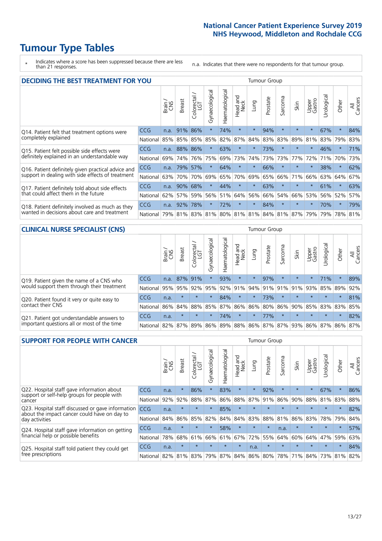# **Tumour Type Tables**

\* Indicates where a score has been suppressed because there are less than 21 responses.

n.a. Indicates that there were no respondents for that tumour group.

| <b>DECIDING THE BEST TREATMENT FOR YOU</b>         |            |       |               |                             |                |                |                         |          | <b>Tumour Group</b> |                         |         |                 |            |         |                |
|----------------------------------------------------|------------|-------|---------------|-----------------------------|----------------|----------------|-------------------------|----------|---------------------|-------------------------|---------|-----------------|------------|---------|----------------|
|                                                    |            | Brain | <b>Breast</b> | olorectal.<br>LGT<br>$\cup$ | Gynaecological | Haematological | ead and<br>Neck<br>Head | Lung     | Prostate            | Sarcoma                 | Skin    | Upper<br>Gastro | Jrological | Other   | All<br>Cancers |
| Q14. Patient felt that treatment options were      | CCG        | n.a.  | 91%           | 86%                         | $\star$        | 74%            | $\star$                 | $\star$  | 94%                 | $\star$                 |         | $\star$         | 67%        | $\star$ | 84%            |
| completely explained                               | National   | 85%   | 85%           | 85%                         | 85%            | 82%            | 87%                     | 84%      | 83%                 | 83%                     | 89%     | 81%             | 83%        | 79%     | 83%            |
| Q15. Patient felt possible side effects were       | <b>CCG</b> | n.a.  | 88%           | 86%                         | $\star$        | 63%            | $\ast$                  | $^\star$ | 73%                 | $\star$                 |         | $\star$         | 46%        | $\star$ | 71%            |
| definitely explained in an understandable way      | National   | 69%   | 74%           | 76%                         | 75%            | 69%            | 73%                     | 74%      | 73%                 | 73%                     | 77%     | 72%             | 71%        | 70%     | 73%            |
| Q16. Patient definitely given practical advice and | CCG        | n.a.  | 79%           | 57%                         | $\star$        | 64%            | $\star$                 | $\star$  | 66%                 | $\star$                 |         | $\star$         | 38%        | $\star$ | 62%            |
| support in dealing with side effects of treatment  | National   | 63%   | 70%           | 70%                         | 69%            | 65%            | 70%                     | 69%      | 65%                 | 66%                     | 71%     | 66%             | 63%        | 64%     | 67%            |
| Q17. Patient definitely told about side effects    | CCG        | n.a.  | 90%           | 68%                         | $\star$        | 44%            | $\star$                 | $\star$  | 63%                 | $\star$                 | $\star$ | $\star$         | 61%        | $\star$ | 63%            |
| that could affect them in the future               | National   | 62%   | 57%           | 59%                         | 56%            | 51%            | 64%                     | 56%      | 66%                 | 54%                     | 66%     | 53%             | 56%        | 52%     | 57%            |
| Q18. Patient definitely involved as much as they   | CCG        | n.a.  | 92%           | 78%                         | $\star$        | 72%            | $\star$                 | $\star$  | 84%                 | $\star$                 | $\star$ | $\star$         | 70%        | $\star$ | 79%            |
| wanted in decisions about care and treatment       | National   | 79%   |               |                             | 81% 83% 81%    |                |                         |          |                     | 80% 81% 81% 84% 81% 87% |         | 79%             | 79%        | 78% 81% |                |

#### **CLINICAL NURSE SPECIALIST (CNS)** Tumour Group

|                                                |              | Brain | <b>Breast</b> | Colorectal<br>LGT | $\sigma$<br>Gynaecologic | Haematological | Head and<br>Neck | Lung                        | Prostate | Sarcoma | Skin    | Upper<br>Gastro | rological                                   | Other   | All<br>Cancers |
|------------------------------------------------|--------------|-------|---------------|-------------------|--------------------------|----------------|------------------|-----------------------------|----------|---------|---------|-----------------|---------------------------------------------|---------|----------------|
| Q19. Patient given the name of a CNS who       | <b>CCG</b>   | n.a.  | 87% 91%       |                   |                          | 93%            | $\star$          | $\star$                     | 97%      |         | $\star$ | $\star$         | 71%                                         | $\star$ | 89%            |
| would support them through their treatment     | National     | 95%   | 95%           | 92%               | 95%                      |                | 92% 91%          | $ 94\% 91\% $               |          | 91%     | 91%     | 93%             |                                             | 85% 89% | 92%            |
| Q20. Patient found it very or quite easy to    | CCG          | n.a.  | $\star$       | $\star$           | $\star$                  | 84%            | $\star$          | $\star$                     | 73%      | $\star$ | $\star$ | $\star$         | $\star$                                     | $\star$ | 81%            |
| contact their CNS                              | National     | 86%   |               | 84% 88% 85%       |                          |                |                  | 87%   86%   86%   80%   86% |          |         |         | 90% 85%         | 83% 83%                                     |         | 85%            |
| . Patient got understandable answers to<br>021 | <b>CCG</b>   | n.a.  | $\star$       | $\star$           |                          | 74%            | $\star$          | $\star$                     | 77%      | $\star$ | $\star$ | $\star$         | $\star$                                     | $\star$ | 82%            |
| important questions all or most of the time    | National 82% |       |               | 87% 89%           |                          |                |                  |                             |          |         |         |                 | 86% 89% 88% 86% 87% 87% 93% 86% 87% 86% 87% |         |                |

| <b>SUPPORT FOR PEOPLE WITH CANCER</b>                                                             |          |       |               |            |                |                |                         |             | Tumour Group |         |         |                 |            |         |                |
|---------------------------------------------------------------------------------------------------|----------|-------|---------------|------------|----------------|----------------|-------------------------|-------------|--------------|---------|---------|-----------------|------------|---------|----------------|
|                                                                                                   |          | Brain | <b>Breast</b> | Colorectal | Gynaecological | Haematological | ead and<br>Neck<br>Head | Lung        | Prostate     | Sarcoma | Skin    | Upper<br>Gastro | Jrological | Other   | All<br>Cancers |
| Q22. Hospital staff gave information about<br>support or self-help groups for people with         | CCG.     | n.a.  | $\star$       | 86%        | $\star$        | 83%            | $\star$                 | $\star$     | 92%          | $\star$ | $\star$ | $\star$         | 67%        | $\star$ | 86%            |
| cancer                                                                                            | National | 92%   | 92%           | 88%        | 87%            | 86%            | 88%                     | 87%         | 91%          | 86%     | 90%     | 88%             | 81%        | 83%     | 88%            |
| Q23. Hospital staff discussed or gave information<br>about the impact cancer could have on day to | CCG.     | n.a.  | $\star$       | $\star$    | $\star$        | 85%            | $\star$                 | $\star$     | $\star$      |         | $\star$ | $\star$         | $\star$    | $\star$ | 82%            |
| day activities                                                                                    | National | 84%   | 86%           | 85%        | 82%            | 84%            | 84%                     | 83%         | 88%          | 81%     | 86%     | 83%             | 78%        | 79%     | 84%            |
| Q24. Hospital staff gave information on getting                                                   | CCG      | n.a.  | $\star$       | $\star$    | $\star$        | 58%            | $\star$                 | $\star$     | $\star$      | n.a.    | $\star$ | $\star$         | $\star$    | $\ast$  | 57%            |
| financial help or possible benefits                                                               | National | 78%   | 68%           | 61%        | 66%            | 61%            | 67%                     | 72%         | 55%          | 64%     | 60%     | 64%             | 47%        | 59%     | 63%            |
| Q25. Hospital staff told patient they could get                                                   | CCG      | n.a.  | $\star$       | $\star$    | $\star$        | $\star$        | $\star$                 | n.a.        | $\star$      | $\star$ |         | $\star$         | $\star$    | $\ast$  | 84%            |
| free prescriptions                                                                                | National | 82%   | 81%           | 83%        | 79%            | 87%            |                         | 84% 86% 80% |              | 78%     | 71%     | 84%             | 73%        | 81%     | 82%            |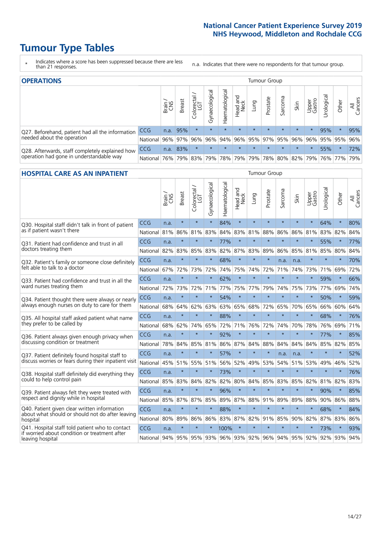# **Tumour Type Tables**

- \* Indicates where a score has been suppressed because there are less than 21 responses.
- n.a. Indicates that there were no respondents for that tumour group.

| <b>OPERATIONS</b>                                |            |              |               |            |                    |                |                  |         | Tumour Group |         |                     |                 |                                         |         |                |
|--------------------------------------------------|------------|--------------|---------------|------------|--------------------|----------------|------------------|---------|--------------|---------|---------------------|-----------------|-----------------------------------------|---------|----------------|
|                                                  |            | Brain<br>CNS | <b>Breast</b> | Colorectal | ᠊ᢛ<br>Gynaecologic | Haematological | Head and<br>Neck | Lung    | Prostate     | Sarcoma | Skin                | Upper<br>Gastro | –<br>$\sigma$<br>Urologica              | Other   | All<br>Cancers |
| Q27. Beforehand, patient had all the information | <b>CCG</b> | n.a.         | 95%           | $\star$    | $\star$            | $\star$        | $\star$          | $\star$ | $\star$      | $\star$ | $\star$             | $\star$         | 95%                                     | $\star$ | 95%            |
| needed about the operation                       | National   | 96%          | 97%           | 96%        | 96%                | 94%            |                  |         |              |         | 96% 95% 97% 95% 96% | 96%             | 95% 95%                                 |         | 96%            |
| Q28. Afterwards, staff completely explained how  | <b>CCG</b> | n.a.         | 83%           | $\star$    | $\star$            | $\star$        | $\star$          | $\star$ | $\star$      | $\star$ | $\star$             | $\star$         | 55%                                     | $\star$ | 72%            |
| operation had gone in understandable way         | National   | 76%          |               | 79% 83%    |                    |                |                  |         |              |         |                     |                 | 79% 78% 79% 79% 78% 80% 82% 79% 76% 77% |         | 79%            |

#### **HOSPITAL CARE AS AN INPATIENT** Tumour Group

|                                                                                |            | Brain | <b>Breast</b> | $\frac{\text{Colored}}{\text{LGT}}$ | Gynaecological | Haematological | Head and<br>Neck | Lung    | Prostate | Sarcoma | Skin        | Upper<br>Gastro | Urological | Other   | Cancers<br>$\overline{\overline{A}}$ |
|--------------------------------------------------------------------------------|------------|-------|---------------|-------------------------------------|----------------|----------------|------------------|---------|----------|---------|-------------|-----------------|------------|---------|--------------------------------------|
| Q30. Hospital staff didn't talk in front of patient                            | CCG        | n.a.  | $\star$       | $\star$                             | $\star$        | 84%            | $\star$          | $\star$ | $\star$  | $\star$ | $\star$     | $\star$         | 64%        | $\star$ | 80%                                  |
| as if patient wasn't there                                                     | National   | 81%   | 86%           | 81%                                 | 83%            | 84%            | 83%              | 81%     | 88%      | 86%     | 86%         | 81%             | 83%        | 82%     | 84%                                  |
| 031. Patient had confidence and trust in all                                   | CCG        | n.a.  | $\star$       | $\star$                             | $\star$        | 77%            | $\star$          | $\star$ | $\star$  | $\star$ | $\star$     | $\star$         | 55%        | $\star$ | 77%                                  |
| doctors treating them                                                          | National   | 82%   | 83%           | 85%                                 | 83%            | 82%            |                  | 87% 83% | 89%      | 86%     | 85%         | 81%             | 85%        | 80%     | 84%                                  |
| Q32. Patient's family or someone close definitely                              | CCG        | n.a.  | $\star$       | $\star$                             | $\star$        | 68%            | $\star$          | $\star$ | $\star$  | n.a.    | n.a.        |                 | $\star$    | $\star$ | 70%                                  |
| felt able to talk to a doctor                                                  | National   | 67%   | 72%           | 73%                                 | 72%            | 74%            | 75%              | 74%     | 72%      | 71%     | 74%         | 73%             | 71%        | 69%     | 72%                                  |
| Q33. Patient had confidence and trust in all the                               | CCG        | n.a.  | $\star$       | $\star$                             | $\star$        | 62%            | $\star$          | $\star$ | $\star$  | $\star$ | $\star$     | $\star$         | 59%        | $\star$ | 66%                                  |
| ward nurses treating them                                                      | National   | 72%   | 73%           | 72%                                 | 71%            | 77%            |                  | 75% 77% | 79%      | 74%     | 75%         | 73%             | 77%        | 69%     | 74%                                  |
| Q34. Patient thought there were always or nearly                               | CCG        | n.a.  | $\star$       | $\star$                             | $\star$        | 54%            | $\star$          | $\star$ | $\star$  | $\star$ | $\star$     | $\star$         | 50%        | $\star$ | 59%                                  |
| always enough nurses on duty to care for them                                  | National   | 68%   | 64%           | 62%                                 | 63%            | 63%            |                  | 65% 68% | 72%      | 65%     | 70%         | 65%             | 66%        | 60%     | 64%                                  |
| Q35. All hospital staff asked patient what name<br>they prefer to be called by | CCG        | n.a.  | $\star$       | $\star$                             | $\star$        | 88%            | $\star$          | $\star$ | $\star$  | $\star$ | $\star$     | $\star$         | 68%        | $\star$ | 76%                                  |
|                                                                                | National   | 68%   | 62%           | 74%                                 | 65%            | 72%            |                  | 71% 76% | 72%      | 74%     | 70%         | 78%             | 76%        | 69%     | 71%                                  |
| Q36. Patient always given enough privacy when                                  | CCG        | n.a.  | $\star$       | $\star$                             | $\star$        | 92%            | $\star$          | $\star$ | $\star$  | $\star$ | $\star$     | $\star$         | 77%        | $\star$ | 85%                                  |
| discussing condition or treatment                                              | National   | 78%   | 84%           | 85%                                 | 81%            | 86%            |                  | 87% 84% | 88%      | 84%     | 84%         | 84%             | 85%        | 82%     | 85%                                  |
| Q37. Patient definitely found hospital staff to                                | <b>CCG</b> | n.a.  | $\star$       | $\star$                             | $\star$        | 57%            | $\star$          | $\star$ | $\star$  | n.a.    | n.a.        | $\star$         | $\star$    | $\star$ | 52%                                  |
| discuss worries or fears during their inpatient visit                          | National   | 45%   | 51%           | 55% 51%                             |                | 56%            | 52%              | 49%     | 53%      | 54%     | 51%         |                 | 53% 49%    | 46%     | 52%                                  |
| Q38. Hospital staff definitely did everything they                             | CCG        | n.a.  | $\star$       | $\star$                             | $\star$        | 73%            | $\star$          | $\star$ | $\star$  | $\star$ | $\star$     | $\star$         | $\star$    | $\star$ | 76%                                  |
| could to help control pain                                                     | National   | 85%   | 83%           | 84%                                 | 82%            | 82%            | 80%              | 84%     | 85%      | 83%     | 85%         | 82%             | 81%        | 82%     | 83%                                  |
| Q39. Patient always felt they were treated with                                | CCG        | n.a.  | $\star$       | $\star$                             |                | 96%            | $\star$          | $\star$ | $\star$  | $\star$ | $\star$     |                 | 90%        | $\star$ | 85%                                  |
| respect and dignity while in hospital                                          | National   | 85%   | 87%           | 87%                                 | 85%            | 89%            |                  | 87% 88% | 91%      | 89%     | 89%         | 88%             | 90%        | 86%     | 88%                                  |
| Q40. Patient given clear written information                                   | CCG        | n.a.  | $\star$       | $\star$                             | $\star$        | 88%            | $\star$          | $\star$ | $\star$  | $\star$ | $\star$     | $\star$         | 68%        | $\star$ | 84%                                  |
| about what should or should not do after leaving<br>hospital                   | National   | 80%   | 89%           | 86%                                 | 86%            | 83%            |                  | 87% 82% | 91%      | 85%     | 90%         | 82%             | 87%        | 83%     | 86%                                  |
| Q41. Hospital staff told patient who to contact                                | CCG        | n.a.  | $\star$       | $\star$                             |                | 100%           | $\star$          | $\star$ | $\star$  | $\star$ | $\star$     | $\star$         | 73%        | $\star$ | 93%                                  |
| if worried about condition or treatment after<br>leaving hospital              | National I | 94%   |               | 95% 95% 93%                         |                | 96% 93% 92%    |                  |         | 96%      |         | 94% 95% 92% |                 |            | 92% 93% | 94%                                  |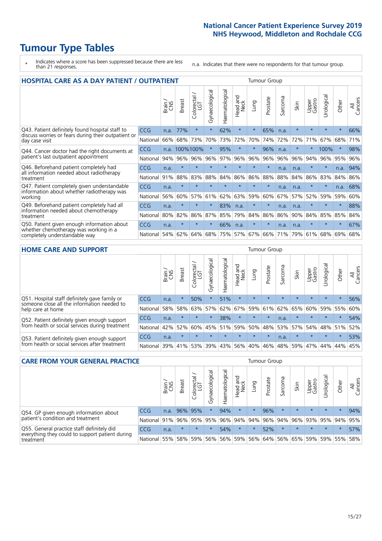# **Tumour Type Tables**

- \* Indicates where a score has been suppressed because there are less than 21 responses.
- n.a. Indicates that there were no respondents for that tumour group.

| <b>HOSPITAL CARE AS A DAY PATIENT / OUTPATIENT</b><br><b>Tumour Group</b>              |            |       |               |            |                |                |                         |         |          |             |         |                 |            |         |                |
|----------------------------------------------------------------------------------------|------------|-------|---------------|------------|----------------|----------------|-------------------------|---------|----------|-------------|---------|-----------------|------------|---------|----------------|
|                                                                                        |            | Brain | <b>Breast</b> | Colorectal | Gynaecological | Haematological | aad and<br>Neck<br>Head | Lung    | Prostate | arcoma<br>S | Skin    | Upper<br>Gastro | Jrological | Other   | All<br>Cancers |
| Q43. Patient definitely found hospital staff to                                        | <b>CCG</b> | n.a.  | 77%           | $\star$    | $^\star$       | 62%            | $\star$                 | $\star$ | 65%      | n.a.        | $\star$ | $\star$         | $\star$    | $\star$ | 66%            |
| discuss worries or fears during their outpatient or<br>day case visit                  | National   | 66%   | 68%           | 73%        | 70%            | 73%            | 72%                     | 70%     | 74%      | 72%         | 72%     | 71%             | 67%        | 68%     | 71%            |
| Q44. Cancer doctor had the right documents at<br>patient's last outpatient appointment | <b>CCG</b> | n.a.  |               | 100%100%   | $\star$        | 95%            | $\star$                 | $\star$ | 96%      | n.a.        | $\star$ | $\star$         | 100%       | $\star$ | 98%            |
|                                                                                        | National   | 94%   | 96%           | 96%        | 96%            | 97%            | 96%                     | 96%     | 96%      | 96%         | 96%     | 94%             | 96%        | 95%     | 96%            |
| Q46. Beforehand patient completely had                                                 | CCG        | n.a.  | $\star$       | $\star$    |                |                | $\star$                 | $\star$ | $\star$  | n.a.        | n.a.    |                 | $\star$    | n.a.    | 94%            |
| all information needed about radiotherapy<br>treatment                                 | National   | 91%   | 88%           | 83%        | 88%            | 84%            | 86%                     | 86%     | 88%      | 88%         | 84%     | 86%             | 83%        | 84%     | 86%            |
| Q47. Patient completely given understandable                                           | CCG        | n.a.  | $\star$       | $\star$    |                |                | $\star$                 | $\star$ | $\star$  | n.a.        | n.a.    | $\star$         | $\star$    | n.a.    | 68%            |
| information about whether radiotherapy was<br>working                                  | National   | 56%   | 60%           | 57%        | 61%            | 62%            | 63%                     | 59%     | 60%      | 67%         | 57%     | 52%             | 59%        | 59%     | 60%            |
| Q49. Beforehand patient completely had all                                             | <b>CCG</b> | n.a.  | $\star$       | $\star$    |                | 83%            | n.a.                    | $\star$ | $\star$  | n.a.        | n.a.    | $\star$         | $\star$    | $\star$ | 88%            |
| information needed about chemotherapy<br>treatment                                     | National   | 80%   | 82%           | 86%        | 87%            | 85%            | 79%                     | 84%     | 86%      | 86%         | 90%     | 84%             | 85%        | 85%     | 84%            |
| Q50. Patient given enough information about                                            | <b>CCG</b> | n.a.  | $\star$       | $\star$    | $\star$        | 66%            | n.a.                    | $\star$ | $\star$  | n.a.        | n.a.    | $\star$         | $\star$    | $\ast$  | 67%            |
| whether chemotherapy was working in a<br>completely understandable way                 | National   | 54%   | 62%           | 64%        | 68%            | 75%            |                         | 57% 67% | 66%      | 71%         | 79%     | 61%             | 68%        | 69%     | 68%            |

#### **HOME CARE AND SUPPORT** Tumour Group

|                                                                                                                   |            | Brain | Breast  | Colorectal<br>LGT | ᢛ<br>Gynaecologic | Haematological | Head and<br>Neck | <b>Dung</b> | Prostate | Sarcoma | Skin    | Upper<br>Gastro | rological | Other   | All<br>Cancers |
|-------------------------------------------------------------------------------------------------------------------|------------|-------|---------|-------------------|-------------------|----------------|------------------|-------------|----------|---------|---------|-----------------|-----------|---------|----------------|
| Q51. Hospital staff definitely gave family or<br>someone close all the information needed to<br>help care at home | <b>CCG</b> | n.a.  | $\star$ | 50%               |                   | 51%            | $\star$          | $\star$     | $\star$  | $\star$ | $\star$ | $\star$         | $\star$   | $\star$ | 56%            |
|                                                                                                                   | National   | 58%   | 58%     | 63%               | 57%               | 62%            | 67%              | 59%         | 61%      | 62%     | 65%     | 60%             | 59% 55%   |         | 60%            |
| Q52. Patient definitely given enough support<br>from health or social services during treatment                   | <b>CCG</b> | n.a.  | $\star$ | $\star$           | $\star$           | 38%            | $\star$          | $\star$     | $\star$  | n.a.    | $\star$ | $\star$         | $\star$   | $\star$ | 54%            |
|                                                                                                                   | National   | 42%   | 52%     | 60%               |                   | 45% 51%        | 59%              | 50%         | 48%      |         | 53% 57% | 54%             | 48% 51%   |         | 52%            |
| Q53. Patient definitely given enough support<br>from health or social services after treatment                    | <b>CCG</b> | n.a.  | $\star$ | $\star$           | $\star$           | $\star$        | $\star$          | $\star$     | $\star$  | n.a.    |         | $\star$         | $\star$   | $\star$ | 53%            |
|                                                                                                                   | National   | 39%   | 41%     | 53%               | 39%               | 43%            | 56%              | 40%         | 46%      | 48%     | 59%     | 47%             | 44%       | 44%     | 45%            |

| <b>CARE FROM YOUR GENERAL PRACTICE</b>                                                                     | Tumour Group |       |               |                   |                |                   |                  |         |                                     |         |         |                 |           |         |                |
|------------------------------------------------------------------------------------------------------------|--------------|-------|---------------|-------------------|----------------|-------------------|------------------|---------|-------------------------------------|---------|---------|-----------------|-----------|---------|----------------|
|                                                                                                            |              | Brain | <b>Breast</b> | Colorectal<br>LGT | Gynaecological | ᅙ<br>Haematologic | Head and<br>Neck | Lung    | Prostate                            | Sarcoma | Skin    | Upper<br>Gastro | Urologica | Other   | All<br>Cancers |
| Q54. GP given enough information about                                                                     | <b>CCG</b>   | n.a.  |               | 96% 95%           | $\star$        | 94%               | $\star$          | $\star$ | 96%                                 | $\star$ | $\star$ | $\star$         | $\star$   | $\star$ | 94%            |
| patient's condition and treatment                                                                          | National 91% |       |               | 96% 95%           | 95%            |                   |                  |         | 96% 94% 94% 96% 94% 96% 93% 95% 94% |         |         |                 |           |         | 95%            |
| Q55. General practice staff definitely did<br>everything they could to support patient during<br>treatment | CCG          | n.a.  | $\star$       | $\star$           | $\star$        | 54%               | $\star$          | $\star$ | 52%                                 | $\star$ | $\star$ | $\star$         | $\star$   | $\star$ | 57%            |
|                                                                                                            | National     | 55%   |               | 58% 59%           | 56%            |                   | 56% 59%          |         | 56% 64% 56% 65% 59% 59% 55%         |         |         |                 |           |         | 58%            |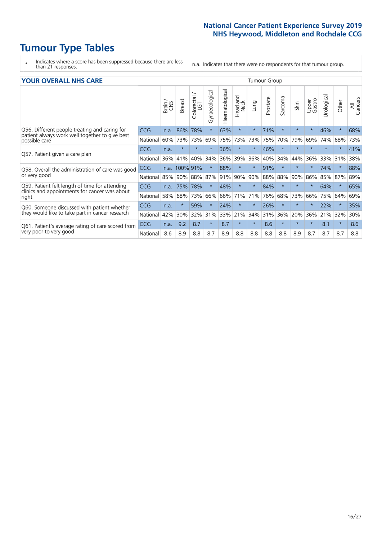# **Tumour Type Tables**

- \* Indicates where a score has been suppressed because there are less than 21 responses.
- n.a. Indicates that there were no respondents for that tumour group.

|  |  |  | <b>YOUR OVERALL NHS CARE</b> |
|--|--|--|------------------------------|
|--|--|--|------------------------------|

| <b>YOUR OVERALL NHS CARE</b>                                                                                     |            |       |               |                        |                |                |                  |         | <b>Tumour Group</b> |         |         |                 |           |         |                |  |  |
|------------------------------------------------------------------------------------------------------------------|------------|-------|---------------|------------------------|----------------|----------------|------------------|---------|---------------------|---------|---------|-----------------|-----------|---------|----------------|--|--|
|                                                                                                                  |            | Brain | <b>Breast</b> | olorectal.<br>LGT<br>Ū | Gynaecological | Haematological | Head and<br>Neck | Lung    | Prostate            | Sarcoma | Skin    | Upper<br>Gastro | Urologica | Other   | All<br>Cancers |  |  |
| Q56. Different people treating and caring for<br>patient always work well together to give best<br>possible care | <b>CCG</b> | n.a.  | 86%           | 78%                    | $\star$        | 63%            | $\star$          | $\star$ | 71%                 | $\star$ | $\star$ | $\rightarrow$   | 46%       | $\star$ | 68%            |  |  |
|                                                                                                                  | National   | 60%   | 73%           | 73%                    | 69%            | 75%            | 73%              | 73%     | 75%                 | 70%     | 79%     | 69%             | 74%       | 68%     | 73%            |  |  |
| Q57. Patient given a care plan                                                                                   | <b>CCG</b> | n.a.  | $\star$       | $\star$                |                | 36%            | $\star$          | $\star$ | 46%                 | $\star$ | $\star$ |                 |           | $\star$ | 41%            |  |  |
|                                                                                                                  | National   | 36%   | 41%           | 40%                    | 34%            | 36%            | 39%              | 36%     | 40%                 | 34%     | 44%     | 36%             | 33%       | 31%     | 38%            |  |  |
| Q58. Overall the administration of care was good                                                                 | CCG        | n.a.  | 100% 91%      |                        | $\star$        | 88%            | $\star$          | $\star$ | 91%                 | $\star$ | $\star$ |                 | 74%       | $\star$ | 88%            |  |  |
| or very good                                                                                                     | National   | 85%   | 90%           | 88%                    | 87%            | 91%            | 90%              | 90%     | 88%                 | 88%     | 90%     | 86%             | 85%       | 87%     | 89%            |  |  |
| Q59. Patient felt length of time for attending                                                                   | <b>CCG</b> | n.a.  | 75%           | 78%                    |                | 48%            | $\star$          | $\star$ | 84%                 | $\star$ | $\star$ |                 | 64%       | $\star$ | 65%            |  |  |
| clinics and appointments for cancer was about<br>right                                                           | National   | 58%   | 68%           | 73%                    | 66%            | 66%            | 71%              | 71%     | 76%                 | 68%     | 73%     | 66%             | 75%       | 64%     | 69%            |  |  |
| Q60. Someone discussed with patient whether                                                                      | CCG        | n.a.  | $\star$       | 59%                    | $\star$        | 24%            | $\ast$           | $\star$ | 26%                 | $\star$ | $\star$ | $\star$         | 22%       | $\star$ | 35%            |  |  |
| they would like to take part in cancer research                                                                  | National   | 42%   | 30%           | 32%                    | 31%            | 33%            | 21%              | 34%     | 31%                 | 36%     | 20%     | 36%             | 21%       | 32%     | 30%            |  |  |
| Q61. Patient's average rating of care scored from<br>very poor to very good                                      | <b>CCG</b> | n.a.  | 9.2           | 8.7                    | $\star$        | 8.7            | $\star$          | $\star$ | 8.6                 | $\star$ | $\star$ | $\star$         | 8.1       | $\star$ | 8.6            |  |  |
|                                                                                                                  | National   | 8.6   | 8.9           | 8.8                    | 8.7            | 8.9            | 8.8              | 8.8     | 8.8                 | 8.8     | 8.9     | 8.7             | 8.7       | 8.7     | 8.8            |  |  |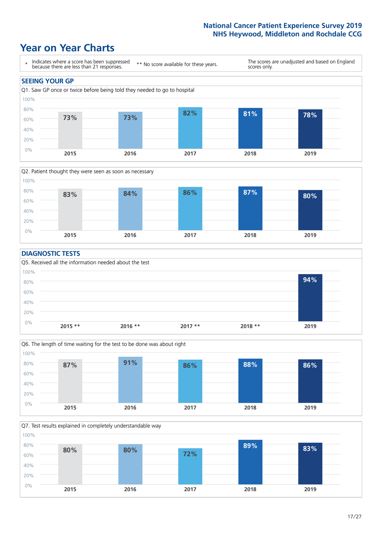# **Year on Year Charts**





#### **DIAGNOSTIC TESTS**





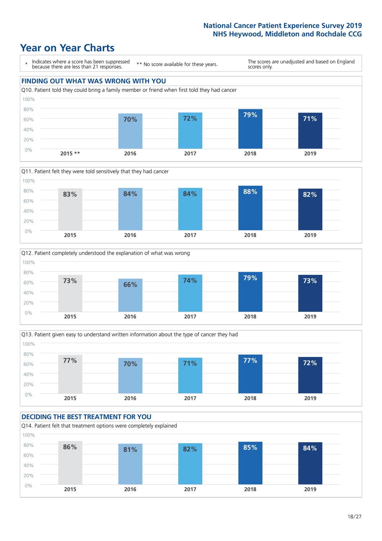







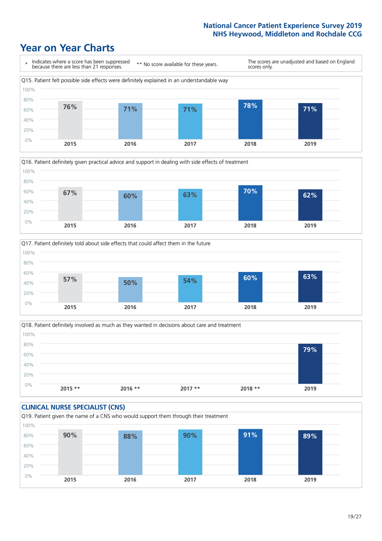







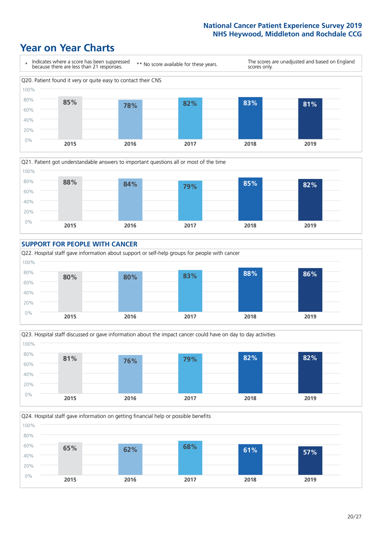# **Year on Year Charts**









Q24. Hospital staff gave information on getting financial help or possible benefits 0% 20% 40% 60% 80% 100% **2015 2016 2017 2018 2019 65% 62% 68% 61% 57%**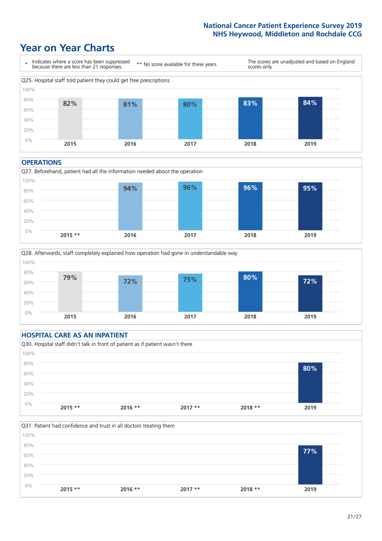# **Year on Year Charts**



#### **OPERATIONS**





### **HOSPITAL CARE AS AN INPATIENT** Q30. Hospital staff didn't talk in front of patient as if patient wasn't there 0% 20% 40% 60% 80% 100% **2015 \*\* 2016 \*\* 2017 \*\* 2018 \*\* 2019 80%**

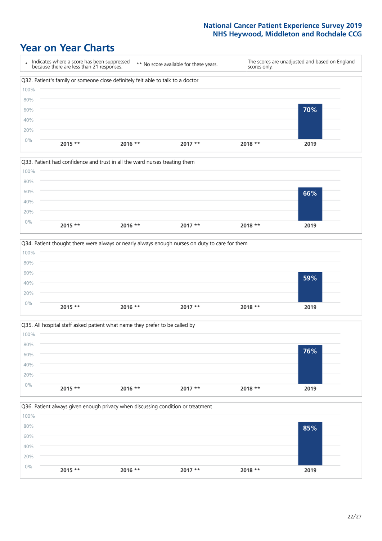







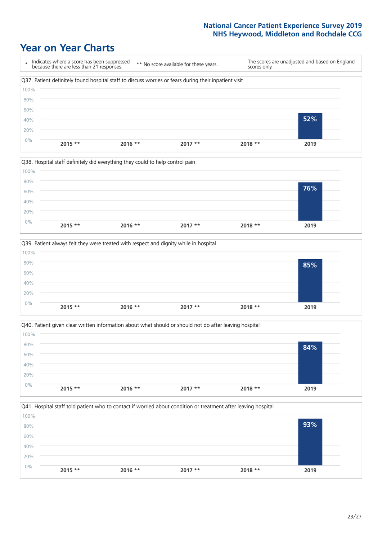







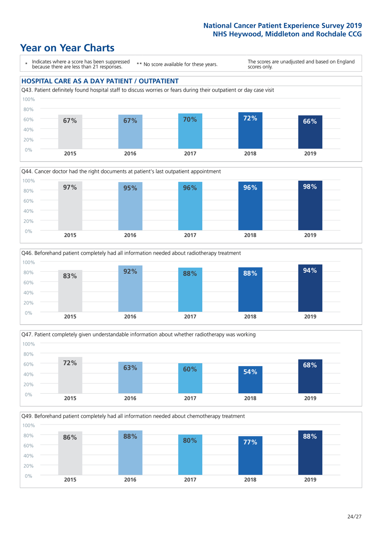







Q49. Beforehand patient completely had all information needed about chemotherapy treatment 100%

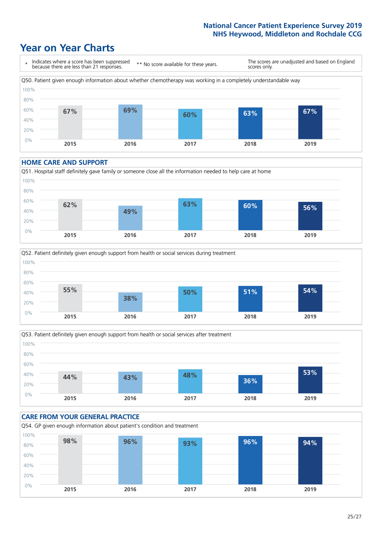# **Year on Year Charts**



#### **HOME CARE AND SUPPORT**







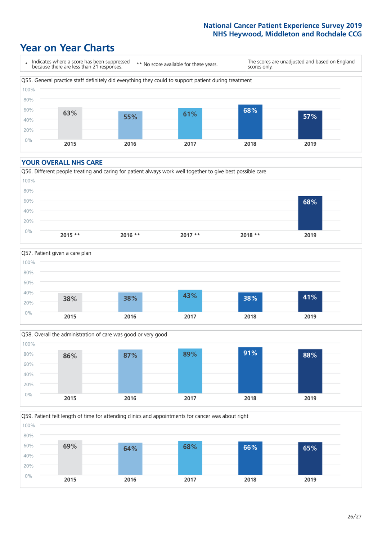# **Year on Year Charts**



#### **YOUR OVERALL NHS CARE**







Q59. Patient felt length of time for attending clinics and appointments for cancer was about right